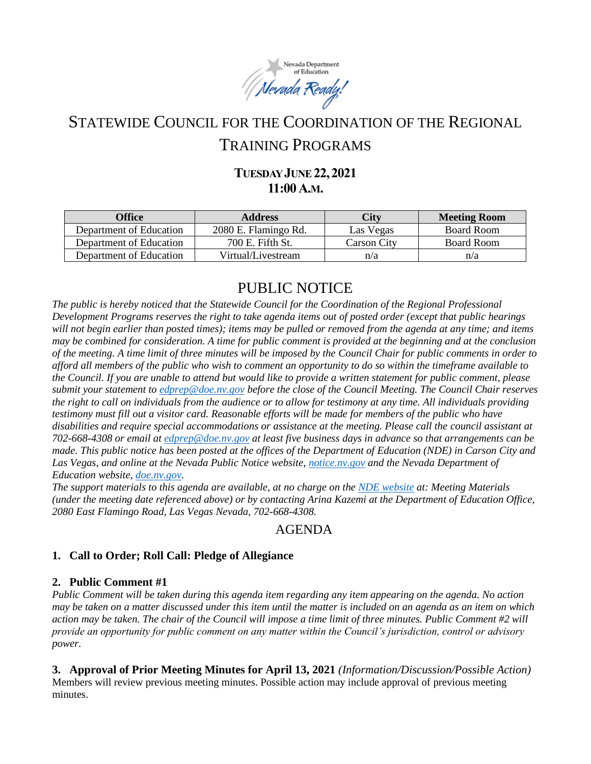

# STATEWIDE COUNCIL FOR THE COORDINATION OF THE REGIONAL TRAINING PROGRAMS

## **TUESDAY JUNE22,2021 11:00A.M.**

| Office                  | <b>Address</b>       | City               | <b>Meeting Room</b> |
|-------------------------|----------------------|--------------------|---------------------|
| Department of Education | 2080 E. Flamingo Rd. | Las Vegas          | Board Room          |
| Department of Education | 700 E. Fifth St.     | <b>Carson City</b> | Board Room          |
| Department of Education | Virtual/Livestream   | n/a                | n/a                 |

## PUBLIC NOTICE

*The public is hereby noticed that the Statewide Council for the Coordination of the Regional Professional Development Programs reserves the right to take agenda items out of posted order (except that public hearings will not begin earlier than posted times); items may be pulled or removed from the agenda at any time; and items may be combined for consideration. A time for public comment is provided at the beginning and at the conclusion of the meeting. A time limit of three minutes will be imposed by the Council Chair for public comments in order to afford all members of the public who wish to comment an opportunity to do so within the timeframe available to the Council. If you are unable to attend but would like to provide a written statement for public comment, please submit your statement to [edprep@doe.nv.gov](mailto:edprep@doe.nv.gov) before the close of the Council Meeting. The Council Chair reserves the right to call on individuals from the audience or to allow for testimony at any time. All individuals providing testimony must fill out a visitor card. Reasonable efforts will be made for members of the public who have disabilities and require special accommodations or assistance at the meeting. Please call the council assistant at 702-668-4308 or email at [edprep@doe.nv.gov](mailto:edprep@doe.nv.gov) at least five business days in advance so that arrangements can be made. This public notice has been posted at the offices of the Department of Education (NDE) in Carson City and Las Vegas, and online at the Nevada Public Notice website, [notice.nv.gov](https://notice.nv.gov/) and the Nevada Department of Education website, [doe.nv.gov.](https://doe.nv.gov/Boards_Commissions_Councils/Statewide_Council_Reg_Training/RPDP/)* 

*The support materials to this agenda are available, at no charge on the [NDE website](https://doe.nv.gov/Boards_Commissions_Councils/Statewide_Council_Reg_Training/Meeting_Materials/) at: Meeting Materials (under the meeting date referenced above) or by contacting Arina Kazemi at the Department of Education Office, 2080 East Flamingo Road, Las Vegas Nevada, 702-668-4308.* 

## AGENDA

### **1. Call to Order; Roll Call: Pledge of Allegiance**

#### **2. Public Comment #1**

*Public Comment will be taken during this agenda item regarding any item appearing on the agenda. No action may be taken on a matter discussed under this item until the matter is included on an agenda as an item on which action may be taken. The chair of the Council will impose a time limit of three minutes. Public Comment #2 will provide an opportunity for public comment on any matter within the Council's jurisdiction, control or advisory power.*

**3. Approval of Prior Meeting Minutes for April 13, 2021** *(Information/Discussion/Possible Action)* Members will review previous meeting minutes. Possible action may include approval of previous meeting minutes.